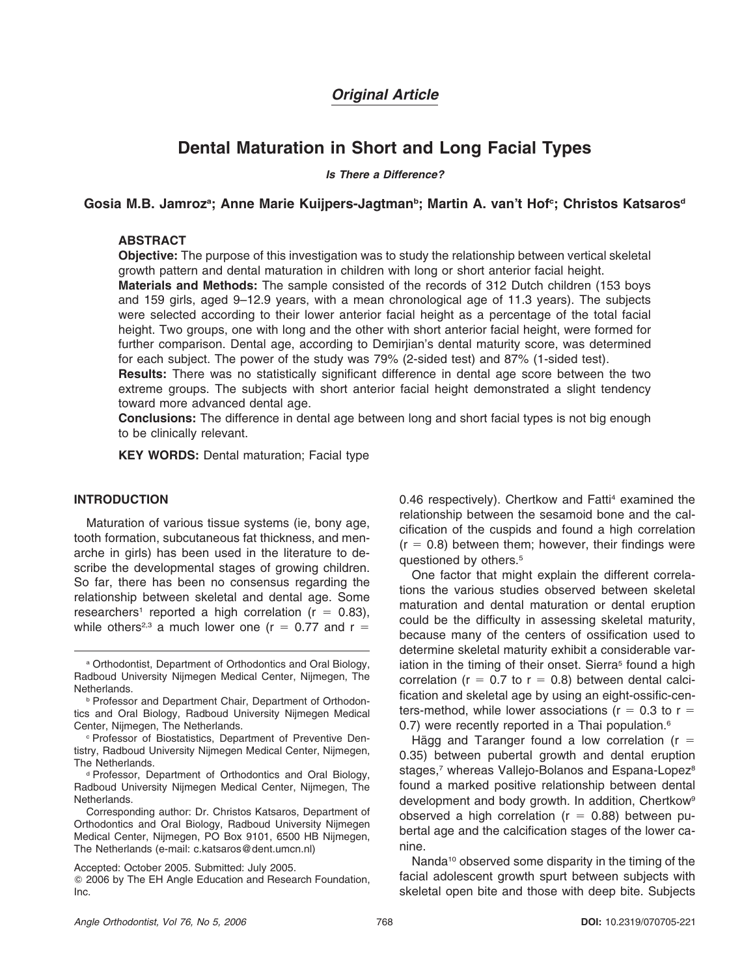# *Original Article*

# **Dental Maturation in Short and Long Facial Types**

*Is There a Difference?*

# Gosia M.B. Jamroz<sup>a</sup>; Anne Marie Kuijpers-Jagtman<sup>b</sup>; Martin A. van't Hof<sup>c</sup>; Christos Katsaros<sup>d</sup>

# **ABSTRACT**

**Objective:** The purpose of this investigation was to study the relationship between vertical skeletal growth pattern and dental maturation in children with long or short anterior facial height.

**Materials and Methods:** The sample consisted of the records of 312 Dutch children (153 boys and 159 girls, aged 9–12.9 years, with a mean chronological age of 11.3 years). The subjects were selected according to their lower anterior facial height as a percentage of the total facial height. Two groups, one with long and the other with short anterior facial height, were formed for further comparison. Dental age, according to Demirjian's dental maturity score, was determined for each subject. The power of the study was 79% (2-sided test) and 87% (1-sided test).

**Results:** There was no statistically significant difference in dental age score between the two extreme groups. The subjects with short anterior facial height demonstrated a slight tendency toward more advanced dental age.

**Conclusions:** The difference in dental age between long and short facial types is not big enough to be clinically relevant.

**KEY WORDS:** Dental maturation; Facial type

# **INTRODUCTION**

Maturation of various tissue systems (ie, bony age, tooth formation, subcutaneous fat thickness, and menarche in girls) has been used in the literature to describe the developmental stages of growing children. So far, there has been no consensus regarding the relationship between skeletal and dental age. Some researchers<sup>1</sup> reported a high correlation ( $r = 0.83$ ), while others<sup>2,3</sup> a much lower one (r = 0.77 and r =

<sup>c</sup> Professor of Biostatistics, Department of Preventive Dentistry, Radboud University Nijmegen Medical Center, Nijmegen, The Netherlands.

<sup>d</sup> Professor, Department of Orthodontics and Oral Biology, Radboud University Nijmegen Medical Center, Nijmegen, The Netherlands.

Corresponding author: Dr. Christos Katsaros, Department of Orthodontics and Oral Biology, Radboud University Nijmegen Medical Center, Nijmegen, PO Box 9101, 6500 HB Nijmegen, The Netherlands (e-mail: c.katsaros@dent.umcn.nl)

Accepted: October 2005. Submitted: July 2005.

- 2006 by The EH Angle Education and Research Foundation, Inc.

0.46 respectively). Chertkow and Fatti<sup>4</sup> examined the relationship between the sesamoid bone and the calcification of the cuspids and found a high correlation  $(r = 0.8)$  between them; however, their findings were questioned by others.<sup>5</sup>

One factor that might explain the different correlations the various studies observed between skeletal maturation and dental maturation or dental eruption could be the difficulty in assessing skeletal maturity, because many of the centers of ossification used to determine skeletal maturity exhibit a considerable variation in the timing of their onset. Sierra<sup>5</sup> found a high correlation ( $r = 0.7$  to  $r = 0.8$ ) between dental calcification and skeletal age by using an eight-ossific-centers-method, while lower associations (r = 0.3 to r = 0.7) were recently reported in a Thai population.<sup>6</sup>

Hägg and Taranger found a low correlation ( $r =$ 0.35) between pubertal growth and dental eruption stages,<sup>7</sup> whereas Vallejo-Bolanos and Espana-Lopez<sup>8</sup> found a marked positive relationship between dental development and body growth. In addition, Chertkow<sup>9</sup> observed a high correlation  $(r = 0.88)$  between pubertal age and the calcification stages of the lower canine.

Nanda<sup>10</sup> observed some disparity in the timing of the facial adolescent growth spurt between subjects with skeletal open bite and those with deep bite. Subjects

<sup>a</sup> Orthodontist, Department of Orthodontics and Oral Biology, Radboud University Nijmegen Medical Center, Nijmegen, The Netherlands.

<sup>b</sup> Professor and Department Chair, Department of Orthodontics and Oral Biology, Radboud University Nijmegen Medical Center, Nijmegen, The Netherlands.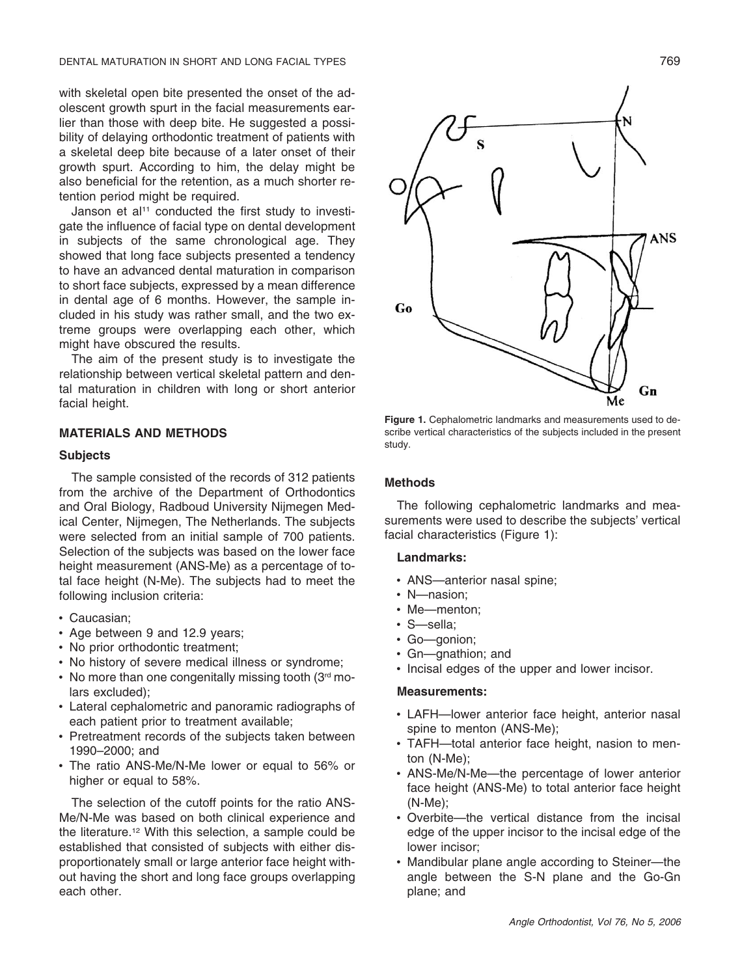with skeletal open bite presented the onset of the adolescent growth spurt in the facial measurements earlier than those with deep bite. He suggested a possibility of delaying orthodontic treatment of patients with a skeletal deep bite because of a later onset of their growth spurt. According to him, the delay might be also beneficial for the retention, as a much shorter retention period might be required.

Janson et al<sup>11</sup> conducted the first study to investigate the influence of facial type on dental development in subjects of the same chronological age. They showed that long face subjects presented a tendency to have an advanced dental maturation in comparison to short face subjects, expressed by a mean difference in dental age of 6 months. However, the sample included in his study was rather small, and the two extreme groups were overlapping each other, which might have obscured the results.

The aim of the present study is to investigate the relationship between vertical skeletal pattern and dental maturation in children with long or short anterior facial height.

# **MATERIALS AND METHODS**

### **Subjects**

The sample consisted of the records of 312 patients from the archive of the Department of Orthodontics and Oral Biology, Radboud University Nijmegen Medical Center, Nijmegen, The Netherlands. The subjects were selected from an initial sample of 700 patients. Selection of the subjects was based on the lower face height measurement (ANS-Me) as a percentage of total face height (N-Me). The subjects had to meet the following inclusion criteria:

- Caucasian;
- Age between 9 and 12.9 years;
- No prior orthodontic treatment;
- No history of severe medical illness or syndrome;
- No more than one congenitally missing tooth (3rd molars excluded);
- Lateral cephalometric and panoramic radiographs of each patient prior to treatment available;
- Pretreatment records of the subjects taken between 1990–2000; and
- The ratio ANS-Me/N-Me lower or equal to 56% or higher or equal to 58%.

The selection of the cutoff points for the ratio ANS-Me/N-Me was based on both clinical experience and the literature.12 With this selection, a sample could be established that consisted of subjects with either disproportionately small or large anterior face height without having the short and long face groups overlapping each other.



**Figure 1.** Cephalometric landmarks and measurements used to describe vertical characteristics of the subjects included in the present study.

### **Methods**

The following cephalometric landmarks and measurements were used to describe the subjects' vertical facial characteristics (Figure 1):

# **Landmarks:**

- ANS—anterior nasal spine;
- N—nasion;
- Me—menton;
- S—sella;
- Go—gonion;
- Gn—gnathion; and
- Incisal edges of the upper and lower incisor.

#### **Measurements:**

- LAFH—lower anterior face height, anterior nasal spine to menton (ANS-Me);
- TAFH—total anterior face height, nasion to menton (N-Me);
- ANS-Me/N-Me—the percentage of lower anterior face height (ANS-Me) to total anterior face height (N-Me);
- Overbite—the vertical distance from the incisal edge of the upper incisor to the incisal edge of the lower incisor;
- Mandibular plane angle according to Steiner—the angle between the S-N plane and the Go-Gn plane; and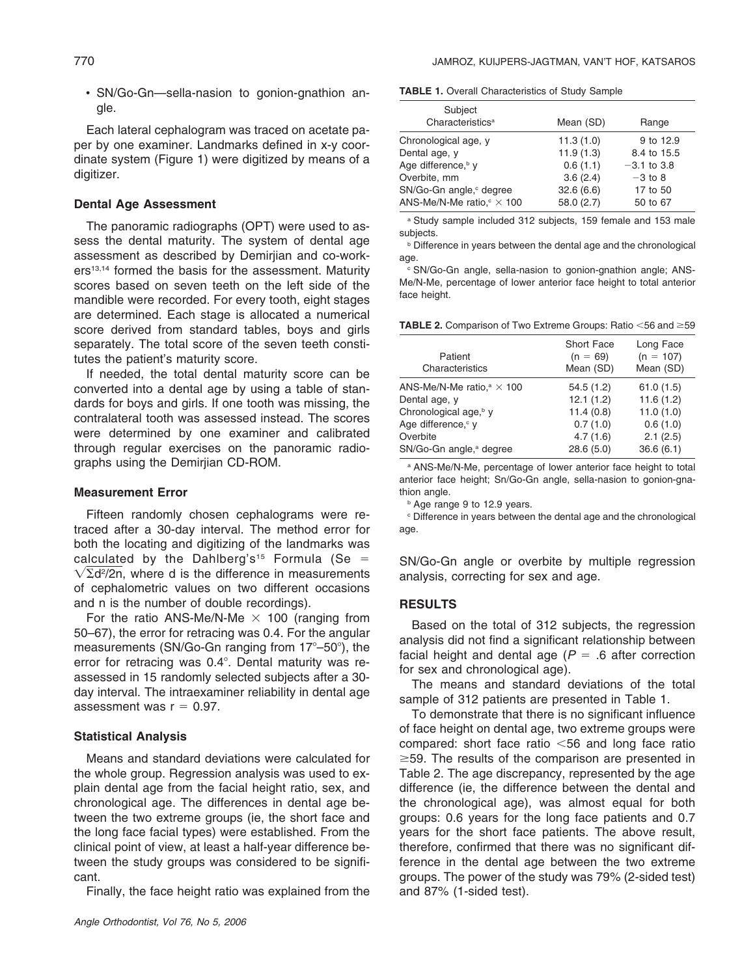• SN/Go-Gn—sella-nasion to gonion-gnathion angle.

Each lateral cephalogram was traced on acetate paper by one examiner. Landmarks defined in x-y coordinate system (Figure 1) were digitized by means of a digitizer.

# **Dental Age Assessment**

The panoramic radiographs (OPT) were used to assess the dental maturity. The system of dental age assessment as described by Demirjian and co-workers<sup>13,14</sup> formed the basis for the assessment. Maturity scores based on seven teeth on the left side of the mandible were recorded. For every tooth, eight stages are determined. Each stage is allocated a numerical score derived from standard tables, boys and girls separately. The total score of the seven teeth constitutes the patient's maturity score.

If needed, the total dental maturity score can be converted into a dental age by using a table of standards for boys and girls. If one tooth was missing, the contralateral tooth was assessed instead. The scores were determined by one examiner and calibrated through regular exercises on the panoramic radiographs using the Demirjian CD-ROM.

#### **Measurement Error**

Fifteen randomly chosen cephalograms were retraced after a 30-day interval. The method error for both the locating and digitizing of the landmarks was calculated by the Dahlberg's<sup>15</sup> Formula (Se =  $\sqrt{\Sigma}$ d<sup>2</sup>/2n, where d is the difference in measurements of cephalometric values on two different occasions and n is the number of double recordings).

For the ratio ANS-Me/N-Me  $\times$  100 (ranging from 50–67), the error for retracing was 0.4. For the angular measurements (SN/Go-Gn ranging from  $17^{\circ}$ –50 $^{\circ}$ ), the error for retracing was 0.4°. Dental maturity was reassessed in 15 randomly selected subjects after a 30 day interval. The intraexaminer reliability in dental age assessment was  $r = 0.97$ .

# **Statistical Analysis**

Means and standard deviations were calculated for the whole group. Regression analysis was used to explain dental age from the facial height ratio, sex, and chronological age. The differences in dental age between the two extreme groups (ie, the short face and the long face facial types) were established. From the clinical point of view, at least a half-year difference between the study groups was considered to be significant.

Finally, the face height ratio was explained from the

**TABLE 1.** Overall Characteristics of Study Sample

| Subject                            |            |               |  |
|------------------------------------|------------|---------------|--|
| Characteristics <sup>a</sup>       | Mean (SD)  | Range         |  |
| Chronological age, y               | 11.3(1.0)  | 9 to 12.9     |  |
| Dental age, y                      | 11.9(1.3)  | 8.4 to 15.5   |  |
| Age difference, <sup>b</sup> v     | 0.6(1.1)   | $-3.1$ to 3.8 |  |
| Overbite, mm                       | 3.6(2.4)   | $-3$ to 8     |  |
| SN/Go-Gn angle, degree             | 32.6(6.6)  | 17 to 50      |  |
| ANS-Me/N-Me ratio, $\sqrt{\ }$ 100 | 58.0 (2.7) | 50 to 67      |  |
|                                    |            |               |  |

<sup>a</sup> Study sample included 312 subjects, 159 female and 153 male subjects.

**b** Difference in years between the dental age and the chronological age.

<sup>c</sup> SN/Go-Gn angle, sella-nasion to gonion-gnathion angle; ANS-Me/N-Me, percentage of lower anterior face height to total anterior face height.

**TABLE 2.** Comparison of Two Extreme Groups: Ratio <56 and ≥59

| Patient<br>Characteristics                   | <b>Short Face</b><br>$(n = 69)$<br>Mean (SD) | Long Face<br>$(n = 107)$<br>Mean (SD) |
|----------------------------------------------|----------------------------------------------|---------------------------------------|
| ANS-Me/N-Me ratio, <sup>a</sup> $\times$ 100 | 54.5(1.2)                                    | 61.0(1.5)                             |
| Dental age, y                                | 12.1(1.2)                                    | 11.6(1.2)                             |
| Chronological age, <sup>b</sup> y            | 11.4(0.8)                                    | 11.0(1.0)                             |
| Age difference, c v                          | 0.7(1.0)                                     | 0.6(1.0)                              |
| Overbite                                     | 4.7(1.6)                                     | 2.1(2.5)                              |
| SN/Go-Gn angle, <sup>a</sup> degree          | 28.6(5.0)                                    | 36.6(6.1)                             |

<sup>a</sup> ANS-Me/N-Me, percentage of lower anterior face height to total anterior face height; Sn/Go-Gn angle, sella-nasion to gonion-gnathion angle.

**b** Age range 9 to 12.9 years.

<sup>c</sup> Difference in years between the dental age and the chronological age.

SN/Go-Gn angle or overbite by multiple regression analysis, correcting for sex and age.

# **RESULTS**

Based on the total of 312 subjects, the regression analysis did not find a significant relationship between facial height and dental age ( $P = 0.6$  after correction for sex and chronological age).

The means and standard deviations of the total sample of 312 patients are presented in Table 1.

To demonstrate that there is no significant influence of face height on dental age, two extreme groups were compared: short face ratio  $<$ 56 and long face ratio  $\geq$ 59. The results of the comparison are presented in Table 2. The age discrepancy, represented by the age difference (ie, the difference between the dental and the chronological age), was almost equal for both groups: 0.6 years for the long face patients and 0.7 years for the short face patients. The above result, therefore, confirmed that there was no significant difference in the dental age between the two extreme groups. The power of the study was 79% (2-sided test) and 87% (1-sided test).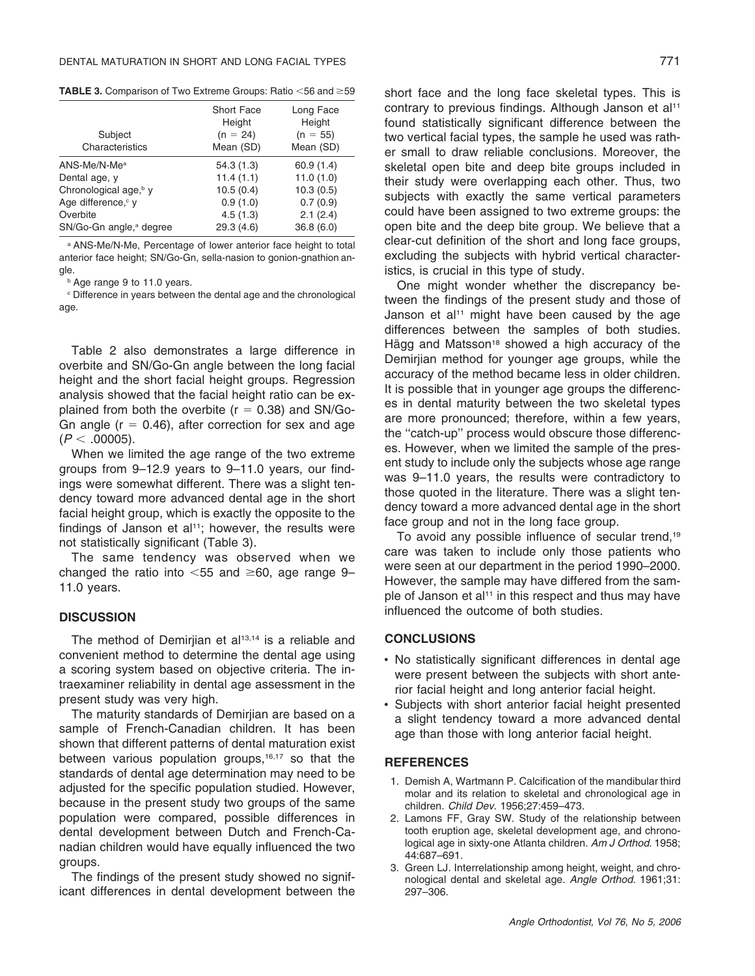**TABLE 3.** Comparison of Two Extreme Groups: Ratio <56 and ≥59

| Subject<br>Characteristics          | Short Face<br>Height<br>$(n = 24)$<br>Mean (SD) | Long Face<br>Height<br>$(n = 55)$<br>Mean (SD) |
|-------------------------------------|-------------------------------------------------|------------------------------------------------|
| $ANS-Me/N-Mea$                      | 54.3 (1.3)                                      | 60.9(1.4)                                      |
| Dental age, y                       | 11.4(1.1)                                       | 11.0(1.0)                                      |
| Chronological age, <sup>b</sup> y   | 10.5(0.4)                                       | 10.3(0.5)                                      |
| Age difference, v                   | 0.9(1.0)                                        | 0.7(0.9)                                       |
| Overbite                            | 4.5(1.3)                                        | 2.1(2.4)                                       |
| SN/Go-Gn angle, <sup>a</sup> degree | 29.3(4.6)                                       | 36.8(6.0)                                      |

<sup>a</sup> ANS-Me/N-Me, Percentage of lower anterior face height to total anterior face height; SN/Go-Gn, sella-nasion to gonion-gnathion angle.

**b** Age range 9 to 11.0 years.

<sup>c</sup> Difference in years between the dental age and the chronological age.

Table 2 also demonstrates a large difference in overbite and SN/Go-Gn angle between the long facial height and the short facial height groups. Regression analysis showed that the facial height ratio can be explained from both the overbite ( $r = 0.38$ ) and SN/Go-Gn angle ( $r = 0.46$ ), after correction for sex and age  $(P < .00005)$ .

When we limited the age range of the two extreme groups from 9–12.9 years to 9–11.0 years, our findings were somewhat different. There was a slight tendency toward more advanced dental age in the short facial height group, which is exactly the opposite to the findings of Janson et al<sup>11</sup>; however, the results were not statistically significant (Table 3).

The same tendency was observed when we changed the ratio into  $<$  55 and  $\geq$  60, age range 9– 11.0 years.

# **DISCUSSION**

The method of Demirijan et al<sup>13,14</sup> is a reliable and convenient method to determine the dental age using a scoring system based on objective criteria. The intraexaminer reliability in dental age assessment in the present study was very high.

The maturity standards of Demirjian are based on a sample of French-Canadian children. It has been shown that different patterns of dental maturation exist between various population groups,<sup>16,17</sup> so that the standards of dental age determination may need to be adjusted for the specific population studied. However, because in the present study two groups of the same population were compared, possible differences in dental development between Dutch and French-Canadian children would have equally influenced the two groups.

The findings of the present study showed no significant differences in dental development between the

short face and the long face skeletal types. This is contrary to previous findings. Although Janson et al<sup>11</sup> found statistically significant difference between the two vertical facial types, the sample he used was rather small to draw reliable conclusions. Moreover, the skeletal open bite and deep bite groups included in their study were overlapping each other. Thus, two subjects with exactly the same vertical parameters could have been assigned to two extreme groups: the open bite and the deep bite group. We believe that a clear-cut definition of the short and long face groups, excluding the subjects with hybrid vertical characteristics, is crucial in this type of study.

One might wonder whether the discrepancy between the findings of the present study and those of Janson et al<sup>11</sup> might have been caused by the age differences between the samples of both studies. Hägg and Matsson<sup>18</sup> showed a high accuracy of the Demirjian method for younger age groups, while the accuracy of the method became less in older children. It is possible that in younger age groups the differences in dental maturity between the two skeletal types are more pronounced; therefore, within a few years, the ''catch-up'' process would obscure those differences. However, when we limited the sample of the present study to include only the subjects whose age range was 9–11.0 years, the results were contradictory to those quoted in the literature. There was a slight tendency toward a more advanced dental age in the short face group and not in the long face group.

To avoid any possible influence of secular trend.<sup>19</sup> care was taken to include only those patients who were seen at our department in the period 1990–2000. However, the sample may have differed from the sample of Janson et al<sup>11</sup> in this respect and thus may have influenced the outcome of both studies.

# **CONCLUSIONS**

- No statistically significant differences in dental age were present between the subjects with short anterior facial height and long anterior facial height.
- Subjects with short anterior facial height presented a slight tendency toward a more advanced dental age than those with long anterior facial height.

### **REFERENCES**

- 1. Demish A, Wartmann P. Calcification of the mandibular third molar and its relation to skeletal and chronological age in children. *Child Dev.* 1956;27:459–473.
- 2. Lamons FF, Gray SW. Study of the relationship between tooth eruption age, skeletal development age, and chronological age in sixty-one Atlanta children. *Am J Orthod.* 1958; 44:687–691.
- 3. Green LJ. Interrelationship among height, weight, and chronological dental and skeletal age. *Angle Orthod.* 1961;31: 297–306.